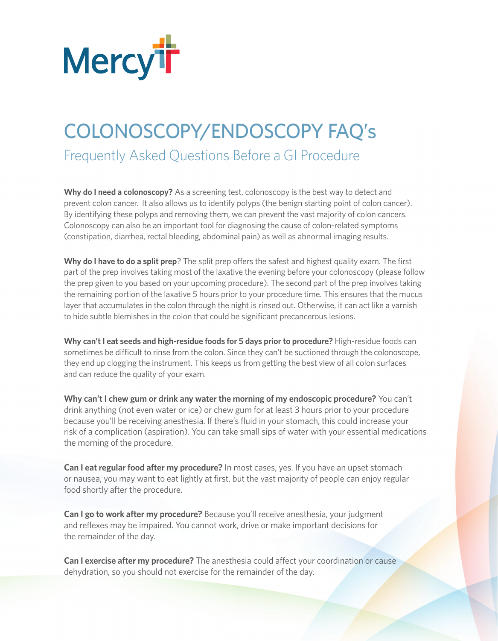

## COLONOSCOPY/ENDOSCOPY FAQ's

Frequently Asked Questions Before a GI Procedure

**Why do I need a colonoscopy?** As a screening test, colonoscopy is the best way to detect and prevent colon cancer. It also allows us to identify polyps (the benign starting point of colon cancer). By identifying these polyps and removing them, we can prevent the vast majority of colon cancers. Colonoscopy can also be an important tool for diagnosing the cause of colon-related symptoms (constipation, diarrhea, rectal bleeding, abdominal pain) as well as abnormal imaging results.

Why do I have to do a split prep? The split prep offers the safest and highest quality exam. The first part of the prep involves taking most of the laxative the evening before your colonoscopy (please follow the prep given to you based on your upcoming procedure). The second part of the prep involves taking the remaining portion of the laxative 5 hours prior to your procedure time. This ensures that the mucus layer that accumulates in the colon through the night is rinsed out. Otherwise, it can act like a varnish to hide subtle blemishes in the colon that could be significant precancerous lesions.

**Why can't I eat seeds and high-residue foods for 5 days prior to procedure?** High-residue foods can sometimes be difficult to rinse from the colon. Since they can't be suctioned through the colonoscope, they end up clogging the instrument. This keeps us from getting the best view of all colon surfaces and can reduce the quality of your exam.

**Why can't I chew gum or drink any water the morning of my endoscopic procedure?** You can't drink anything (not even water or ice) or chew gum for at least 3 hours prior to your procedure because you'll be receiving anesthesia. If there's fluid in your stomach, this could increase your risk of a complication (aspiration). You can take small sips of water with your essential medications the morning of the procedure.

**Can I eat regular food after my procedure?** In most cases, yes. If you have an upset stomach or nausea, you may want to eat lightly at first, but the vast majority of people can enjoy regular food shortly after the procedure.

**Can I go to work after my procedure?** Because you'll receive anesthesia, your judgment and reflexes may be impaired. You cannot work, drive or make important decisions for the remainder of the day.

Can I exercise after my procedure? The anesthesia could affect your coordination or cause dehydration, so you should not exercise for the remainder of the day.